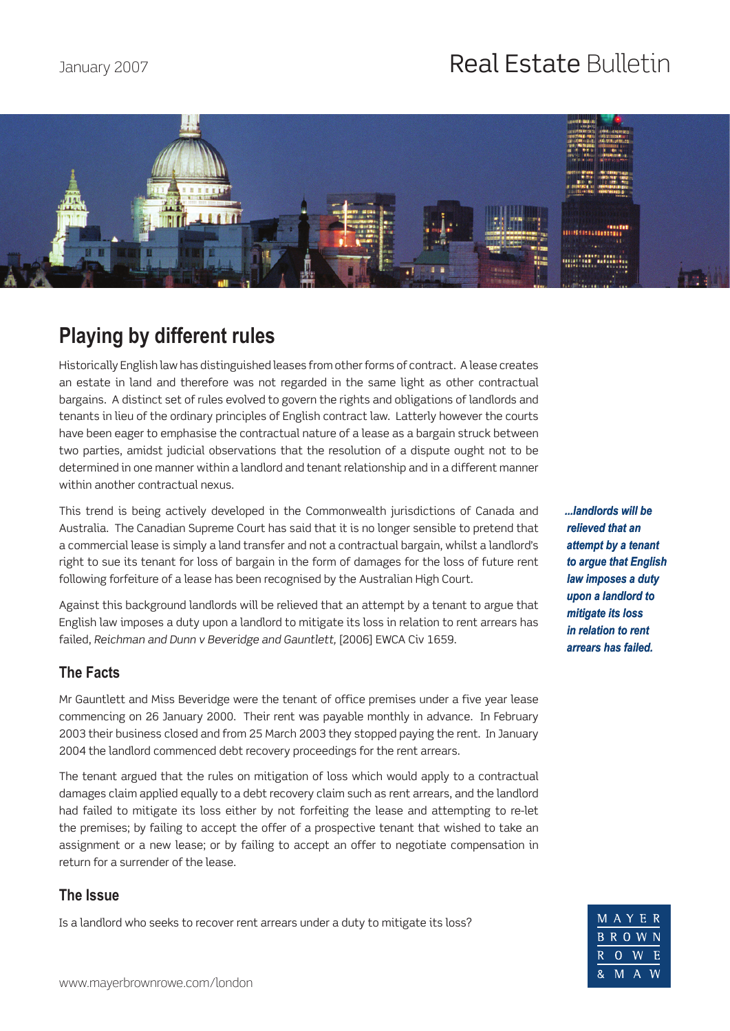# January 2007 **Real Estate Bulletin**



## **Playing by different rules**

Historically English law has distinguished leases from other forms of contract. A lease creates an estate in land and therefore was not regarded in the same light as other contractual bargains. A distinct set of rules evolved to govern the rights and obligations of landlords and tenants in lieu of the ordinary principles of English contract law. Latterly however the courts have been eager to emphasise the contractual nature of a lease as a bargain struck between two parties, amidst judicial observations that the resolution of a dispute ought not to be determined in one manner within a landlord and tenant relationship and in a different manner within another contractual nexus.

This trend is being actively developed in the Commonwealth jurisdictions of Canada and Australia. The Canadian Supreme Court has said that it is no longer sensible to pretend that a commercial lease is simply a land transfer and not a contractual bargain, whilst a landlord's right to sue its tenant for loss of bargain in the form of damages for the loss of future rent following forfeiture of a lease has been recognised by the Australian High Court.

Against this background landlords will be relieved that an attempt by a tenant to argue that English law imposes a duty upon a landlord to mitigate its loss in relation to rent arrears has failed, *Reichman and Dunn v Beveridge and Gauntlett,* [2006] EWCA Civ 1659.

### **The Facts**

Mr Gauntlett and Miss Beveridge were the tenant of office premises under a five year lease commencing on 26 January 2000. Their rent was payable monthly in advance. In February 2003 their business closed and from 25 March 2003 they stopped paying the rent. In January 2004 the landlord commenced debt recovery proceedings for the rent arrears.

The tenant argued that the rules on mitigation of loss which would apply to a contractual damages claim applied equally to a debt recovery claim such as rent arrears, and the landlord had failed to mitigate its loss either by not forfeiting the lease and attempting to re-let the premises; by failing to accept the offer of a prospective tenant that wished to take an assignment or a new lease; or by failing to accept an offer to negotiate compensation in return for a surrender of the lease.

### **The Issue**

Is a landlord who seeks to recover rent arrears under a duty to mitigate its loss?

*...landlords will be relieved that an attempt by a tenant to argue that English law imposes a duty upon a landlord to mitigate its loss in relation to rent arrears has failed.*

|    |   | MAYER                     |    |
|----|---|---------------------------|----|
|    |   | BROWN                     |    |
| R. |   | $0 \ W$                   | -H |
| 8. | M | $\overline{\mathsf{A}}_-$ | W  |